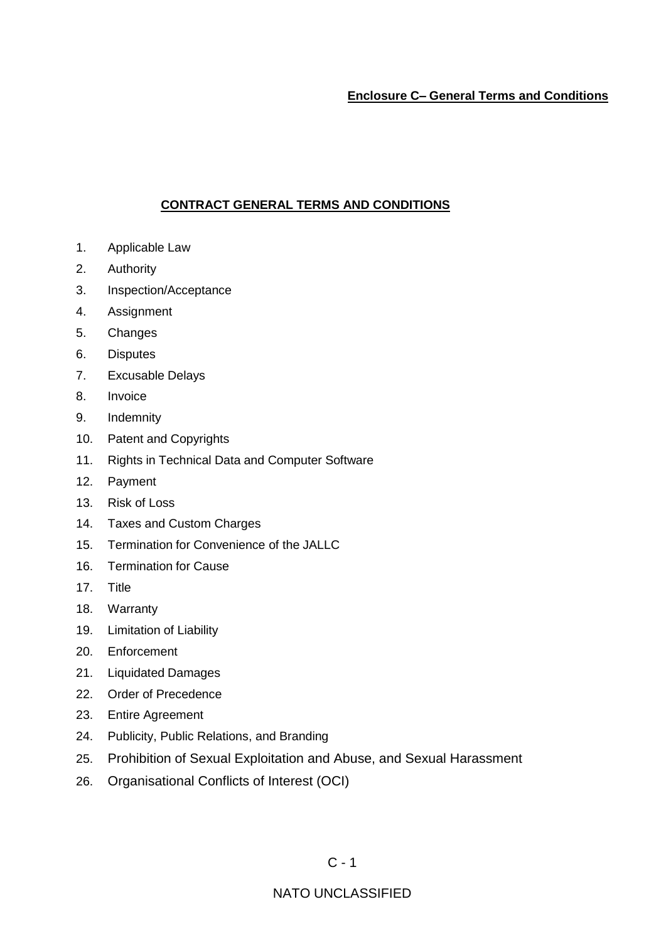# **Enclosure C– General Terms and Conditions**

# **CONTRACT GENERAL TERMS AND CONDITIONS**

- 1. Applicable Law
- 2. Authority
- 3. Inspection/Acceptance
- 4. Assignment
- 5. Changes
- 6. Disputes
- 7. Excusable Delays
- 8. Invoice
- 9. Indemnity
- 10. Patent and Copyrights
- 11. Rights in Technical Data and Computer Software
- 12. Payment
- 13. Risk of Loss
- 14. Taxes and Custom Charges
- 15. Termination for Convenience of the JALLC
- 16. Termination for Cause
- 17. Title
- 18. Warranty
- 19. Limitation of Liability
- 20. Enforcement
- 21. Liquidated Damages
- 22. Order of Precedence
- 23. Entire Agreement
- 24. Publicity, Public Relations, and Branding
- 25. Prohibition of Sexual Exploitation and Abuse, and Sexual Harassment
- 26. Organisational Conflicts of Interest (OCI)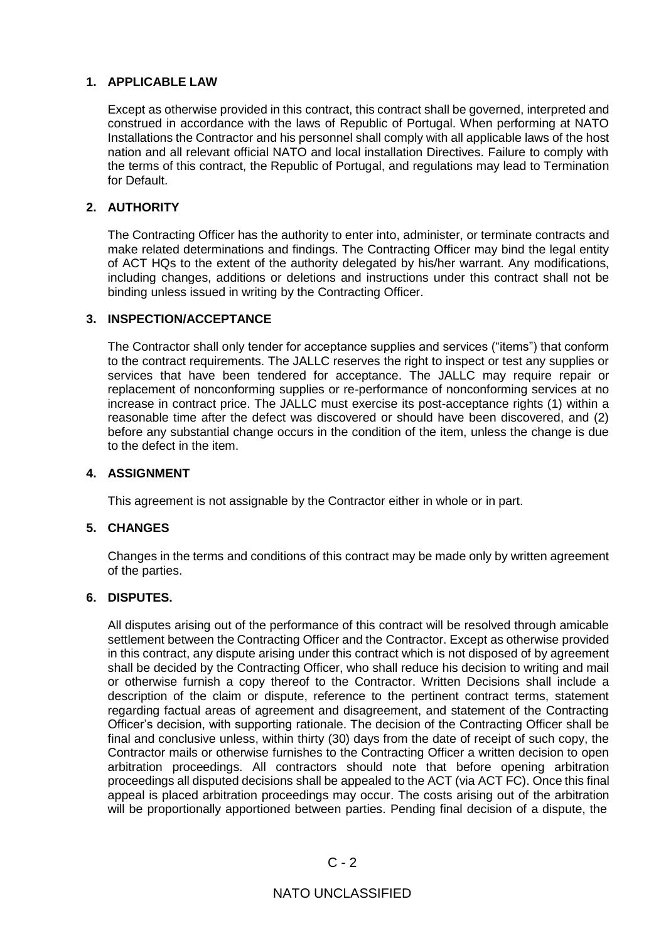# **1. APPLICABLE LAW**

Except as otherwise provided in this contract, this contract shall be governed, interpreted and construed in accordance with the laws of Republic of Portugal. When performing at NATO Installations the Contractor and his personnel shall comply with all applicable laws of the host nation and all relevant official NATO and local installation Directives. Failure to comply with the terms of this contract, the Republic of Portugal, and regulations may lead to Termination for Default.

# **2. AUTHORITY**

The Contracting Officer has the authority to enter into, administer, or terminate contracts and make related determinations and findings. The Contracting Officer may bind the legal entity of ACT HQs to the extent of the authority delegated by his/her warrant. Any modifications, including changes, additions or deletions and instructions under this contract shall not be binding unless issued in writing by the Contracting Officer.

# **3. INSPECTION/ACCEPTANCE**

The Contractor shall only tender for acceptance supplies and services ("items") that conform to the contract requirements. The JALLC reserves the right to inspect or test any supplies or services that have been tendered for acceptance. The JALLC may require repair or replacement of nonconforming supplies or re-performance of nonconforming services at no increase in contract price. The JALLC must exercise its post-acceptance rights (1) within a reasonable time after the defect was discovered or should have been discovered, and (2) before any substantial change occurs in the condition of the item, unless the change is due to the defect in the item.

# **4. ASSIGNMENT**

This agreement is not assignable by the Contractor either in whole or in part.

# **5. CHANGES**

Changes in the terms and conditions of this contract may be made only by written agreement of the parties.

# **6. DISPUTES.**

All disputes arising out of the performance of this contract will be resolved through amicable settlement between the Contracting Officer and the Contractor. Except as otherwise provided in this contract, any dispute arising under this contract which is not disposed of by agreement shall be decided by the Contracting Officer, who shall reduce his decision to writing and mail or otherwise furnish a copy thereof to the Contractor. Written Decisions shall include a description of the claim or dispute, reference to the pertinent contract terms, statement regarding factual areas of agreement and disagreement, and statement of the Contracting Officer's decision, with supporting rationale. The decision of the Contracting Officer shall be final and conclusive unless, within thirty (30) days from the date of receipt of such copy, the Contractor mails or otherwise furnishes to the Contracting Officer a written decision to open arbitration proceedings. All contractors should note that before opening arbitration proceedings all disputed decisions shall be appealed to the ACT (via ACT FC). Once this final appeal is placed arbitration proceedings may occur. The costs arising out of the arbitration will be proportionally apportioned between parties. Pending final decision of a dispute, the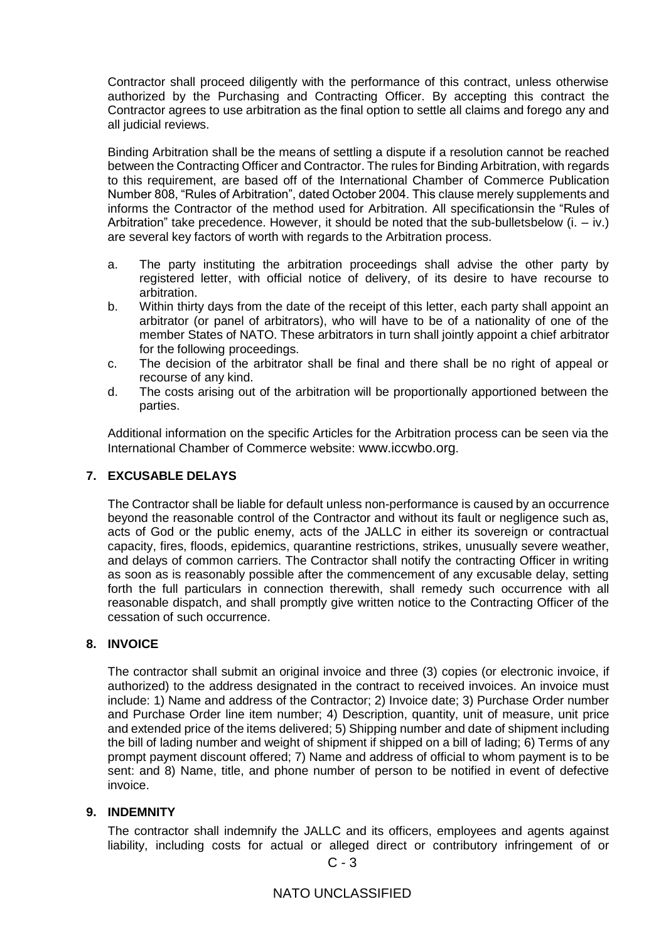Contractor shall proceed diligently with the performance of this contract, unless otherwise authorized by the Purchasing and Contracting Officer. By accepting this contract the Contractor agrees to use arbitration as the final option to settle all claims and forego any and all judicial reviews.

Binding Arbitration shall be the means of settling a dispute if a resolution cannot be reached between the Contracting Officer and Contractor. The rules for Binding Arbitration, with regards to this requirement, are based off of the International Chamber of Commerce Publication Number 808, "Rules of Arbitration", dated October 2004. This clause merely supplements and informs the Contractor of the method used for Arbitration. All specificationsin the "Rules of Arbitration" take precedence. However, it should be noted that the sub-bulletsbelow  $(i. - iv.)$ are several key factors of worth with regards to the Arbitration process.

- a. The party instituting the arbitration proceedings shall advise the other party by registered letter, with official notice of delivery, of its desire to have recourse to arbitration.
- b. Within thirty days from the date of the receipt of this letter, each party shall appoint an arbitrator (or panel of arbitrators), who will have to be of a nationality of one of the member States of NATO. These arbitrators in turn shall jointly appoint a chief arbitrator for the following proceedings.
- c. The decision of the arbitrator shall be final and there shall be no right of appeal or recourse of any kind.
- d. The costs arising out of the arbitration will be proportionally apportioned between the parties.

Additional information on the specific Articles for the Arbitration process can be seen via the International Chamber of Commerce website: [www.iccwbo.org](http://www.iccwbo.org/).

# **7. EXCUSABLE DELAYS**

The Contractor shall be liable for default unless non-performance is caused by an occurrence beyond the reasonable control of the Contractor and without its fault or negligence such as, acts of God or the public enemy, acts of the JALLC in either its sovereign or contractual capacity, fires, floods, epidemics, quarantine restrictions, strikes, unusually severe weather, and delays of common carriers. The Contractor shall notify the contracting Officer in writing as soon as is reasonably possible after the commencement of any excusable delay, setting forth the full particulars in connection therewith, shall remedy such occurrence with all reasonable dispatch, and shall promptly give written notice to the Contracting Officer of the cessation of such occurrence.

# **8. INVOICE**

The contractor shall submit an original invoice and three (3) copies (or electronic invoice, if authorized) to the address designated in the contract to received invoices. An invoice must include: 1) Name and address of the Contractor; 2) Invoice date; 3) Purchase Order number and Purchase Order line item number; 4) Description, quantity, unit of measure, unit price and extended price of the items delivered; 5) Shipping number and date of shipment including the bill of lading number and weight of shipment if shipped on a bill of lading; 6) Terms of any prompt payment discount offered; 7) Name and address of official to whom payment is to be sent: and 8) Name, title, and phone number of person to be notified in event of defective invoice.

# **9. INDEMNITY**

The contractor shall indemnify the JALLC and its officers, employees and agents against liability, including costs for actual or alleged direct or contributory infringement of or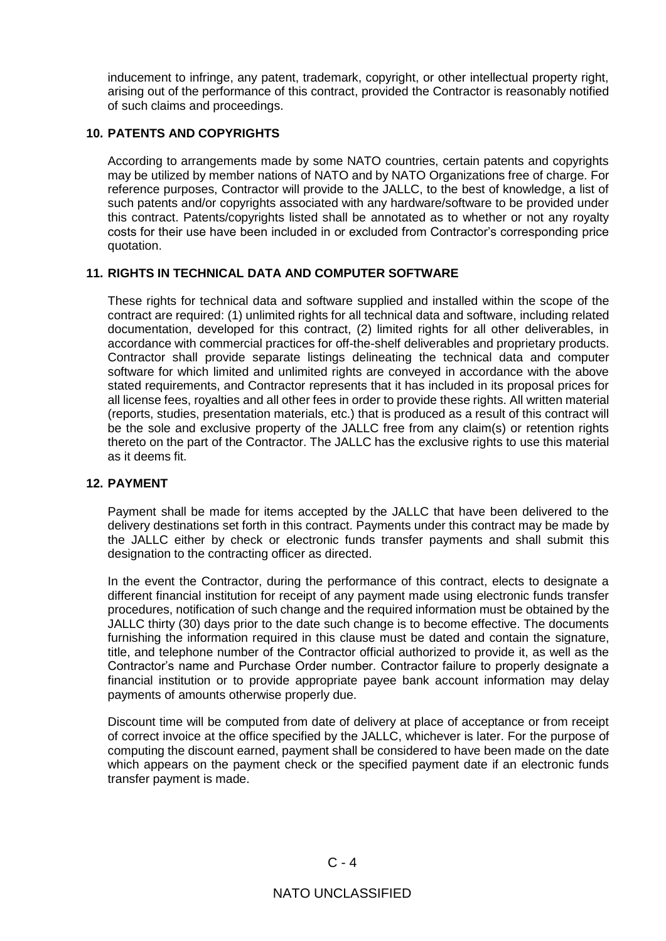inducement to infringe, any patent, trademark, copyright, or other intellectual property right, arising out of the performance of this contract, provided the Contractor is reasonably notified of such claims and proceedings.

# **10. PATENTS AND COPYRIGHTS**

According to arrangements made by some NATO countries, certain patents and copyrights may be utilized by member nations of NATO and by NATO Organizations free of charge. For reference purposes, Contractor will provide to the JALLC, to the best of knowledge, a list of such patents and/or copyrights associated with any hardware/software to be provided under this contract. Patents/copyrights listed shall be annotated as to whether or not any royalty costs for their use have been included in or excluded from Contractor's corresponding price quotation.

# **11. RIGHTS IN TECHNICAL DATA AND COMPUTER SOFTWARE**

These rights for technical data and software supplied and installed within the scope of the contract are required: (1) unlimited rights for all technical data and software, including related documentation, developed for this contract, (2) limited rights for all other deliverables, in accordance with commercial practices for off-the-shelf deliverables and proprietary products. Contractor shall provide separate listings delineating the technical data and computer software for which limited and unlimited rights are conveyed in accordance with the above stated requirements, and Contractor represents that it has included in its proposal prices for all license fees, royalties and all other fees in order to provide these rights. All written material (reports, studies, presentation materials, etc.) that is produced as a result of this contract will be the sole and exclusive property of the JALLC free from any claim(s) or retention rights thereto on the part of the Contractor. The JALLC has the exclusive rights to use this material as it deems fit.

# **12. PAYMENT**

Payment shall be made for items accepted by the JALLC that have been delivered to the delivery destinations set forth in this contract. Payments under this contract may be made by the JALLC either by check or electronic funds transfer payments and shall submit this designation to the contracting officer as directed.

In the event the Contractor, during the performance of this contract, elects to designate a different financial institution for receipt of any payment made using electronic funds transfer procedures, notification of such change and the required information must be obtained by the JALLC thirty (30) days prior to the date such change is to become effective. The documents furnishing the information required in this clause must be dated and contain the signature, title, and telephone number of the Contractor official authorized to provide it, as well as the Contractor's name and Purchase Order number. Contractor failure to properly designate a financial institution or to provide appropriate payee bank account information may delay payments of amounts otherwise properly due.

Discount time will be computed from date of delivery at place of acceptance or from receipt of correct invoice at the office specified by the JALLC, whichever is later. For the purpose of computing the discount earned, payment shall be considered to have been made on the date which appears on the payment check or the specified payment date if an electronic funds transfer payment is made.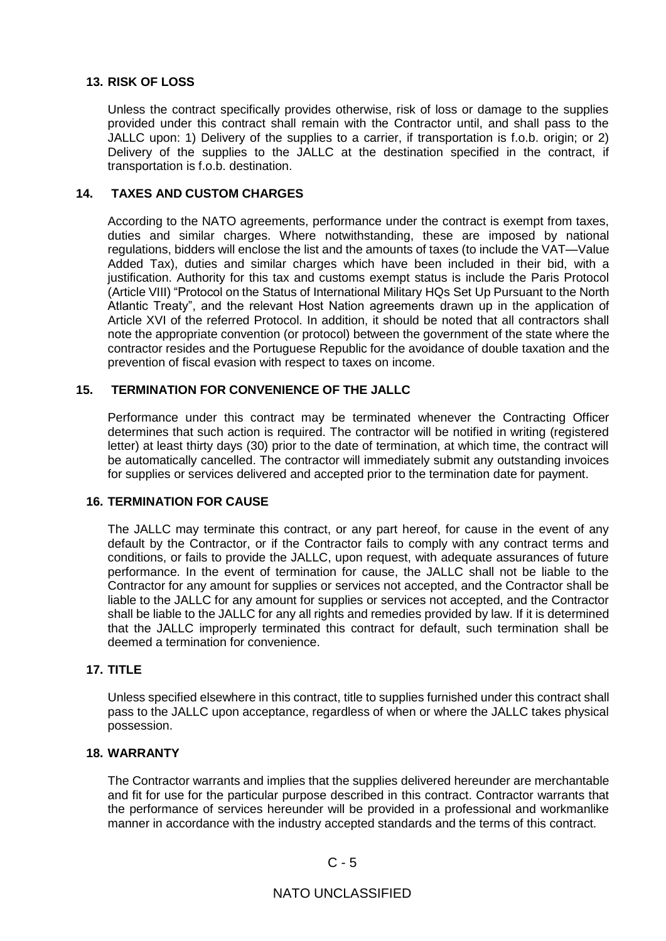## **13. RISK OF LOSS**

Unless the contract specifically provides otherwise, risk of loss or damage to the supplies provided under this contract shall remain with the Contractor until, and shall pass to the JALLC upon: 1) Delivery of the supplies to a carrier, if transportation is f.o.b. origin; or 2) Delivery of the supplies to the JALLC at the destination specified in the contract, if transportation is f.o.b. destination.

## **14. TAXES AND CUSTOM CHARGES**

According to the NATO agreements, performance under the contract is exempt from taxes, duties and similar charges. Where notwithstanding, these are imposed by national regulations, bidders will enclose the list and the amounts of taxes (to include the VAT—Value Added Tax), duties and similar charges which have been included in their bid, with a justification. Authority for this tax and customs exempt status is include the Paris Protocol (Article VIII) "Protocol on the Status of International Military HQs Set Up Pursuant to the North Atlantic Treaty", and the relevant Host Nation agreements drawn up in the application of Article XVI of the referred Protocol. In addition, it should be noted that all contractors shall note the appropriate convention (or protocol) between the government of the state where the contractor resides and the Portuguese Republic for the avoidance of double taxation and the prevention of fiscal evasion with respect to taxes on income.

### **15. TERMINATION FOR CONVENIENCE OF THE JALLC**

Performance under this contract may be terminated whenever the Contracting Officer determines that such action is required. The contractor will be notified in writing (registered letter) at least thirty days (30) prior to the date of termination, at which time, the contract will be automatically cancelled. The contractor will immediately submit any outstanding invoices for supplies or services delivered and accepted prior to the termination date for payment.

#### **16. TERMINATION FOR CAUSE**

The JALLC may terminate this contract, or any part hereof, for cause in the event of any default by the Contractor, or if the Contractor fails to comply with any contract terms and conditions, or fails to provide the JALLC, upon request, with adequate assurances of future performance. In the event of termination for cause, the JALLC shall not be liable to the Contractor for any amount for supplies or services not accepted, and the Contractor shall be liable to the JALLC for any amount for supplies or services not accepted, and the Contractor shall be liable to the JALLC for any all rights and remedies provided by law. If it is determined that the JALLC improperly terminated this contract for default, such termination shall be deemed a termination for convenience.

# **17. TITLE**

Unless specified elsewhere in this contract, title to supplies furnished under this contract shall pass to the JALLC upon acceptance, regardless of when or where the JALLC takes physical possession.

### **18. WARRANTY**

The Contractor warrants and implies that the supplies delivered hereunder are merchantable and fit for use for the particular purpose described in this contract. Contractor warrants that the performance of services hereunder will be provided in a professional and workmanlike manner in accordance with the industry accepted standards and the terms of this contract.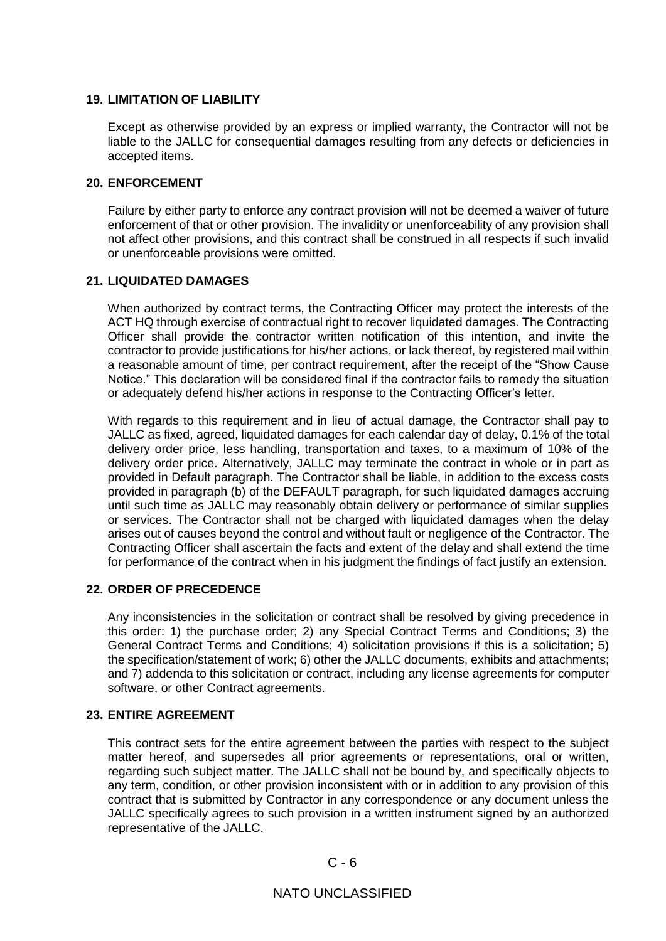### **19. LIMITATION OF LIABILITY**

Except as otherwise provided by an express or implied warranty, the Contractor will not be liable to the JALLC for consequential damages resulting from any defects or deficiencies in accepted items.

#### **20. ENFORCEMENT**

Failure by either party to enforce any contract provision will not be deemed a waiver of future enforcement of that or other provision. The invalidity or unenforceability of any provision shall not affect other provisions, and this contract shall be construed in all respects if such invalid or unenforceable provisions were omitted.

# **21. LIQUIDATED DAMAGES**

When authorized by contract terms, the Contracting Officer may protect the interests of the ACT HQ through exercise of contractual right to recover liquidated damages. The Contracting Officer shall provide the contractor written notification of this intention, and invite the contractor to provide justifications for his/her actions, or lack thereof, by registered mail within a reasonable amount of time, per contract requirement, after the receipt of the "Show Cause Notice." This declaration will be considered final if the contractor fails to remedy the situation or adequately defend his/her actions in response to the Contracting Officer's letter.

With regards to this requirement and in lieu of actual damage, the Contractor shall pay to JALLC as fixed, agreed, liquidated damages for each calendar day of delay, 0.1% of the total delivery order price, less handling, transportation and taxes, to a maximum of 10% of the delivery order price. Alternatively, JALLC may terminate the contract in whole or in part as provided in Default paragraph. The Contractor shall be liable, in addition to the excess costs provided in paragraph (b) of the DEFAULT paragraph, for such liquidated damages accruing until such time as JALLC may reasonably obtain delivery or performance of similar supplies or services. The Contractor shall not be charged with liquidated damages when the delay arises out of causes beyond the control and without fault or negligence of the Contractor. The Contracting Officer shall ascertain the facts and extent of the delay and shall extend the time for performance of the contract when in his judgment the findings of fact justify an extension.

#### **22. ORDER OF PRECEDENCE**

Any inconsistencies in the solicitation or contract shall be resolved by giving precedence in this order: 1) the purchase order; 2) any Special Contract Terms and Conditions; 3) the General Contract Terms and Conditions; 4) solicitation provisions if this is a solicitation; 5) the specification/statement of work; 6) other the JALLC documents, exhibits and attachments; and 7) addenda to this solicitation or contract, including any license agreements for computer software, or other Contract agreements.

#### **23. ENTIRE AGREEMENT**

This contract sets for the entire agreement between the parties with respect to the subject matter hereof, and supersedes all prior agreements or representations, oral or written, regarding such subject matter. The JALLC shall not be bound by, and specifically objects to any term, condition, or other provision inconsistent with or in addition to any provision of this contract that is submitted by Contractor in any correspondence or any document unless the JALLC specifically agrees to such provision in a written instrument signed by an authorized representative of the JALLC.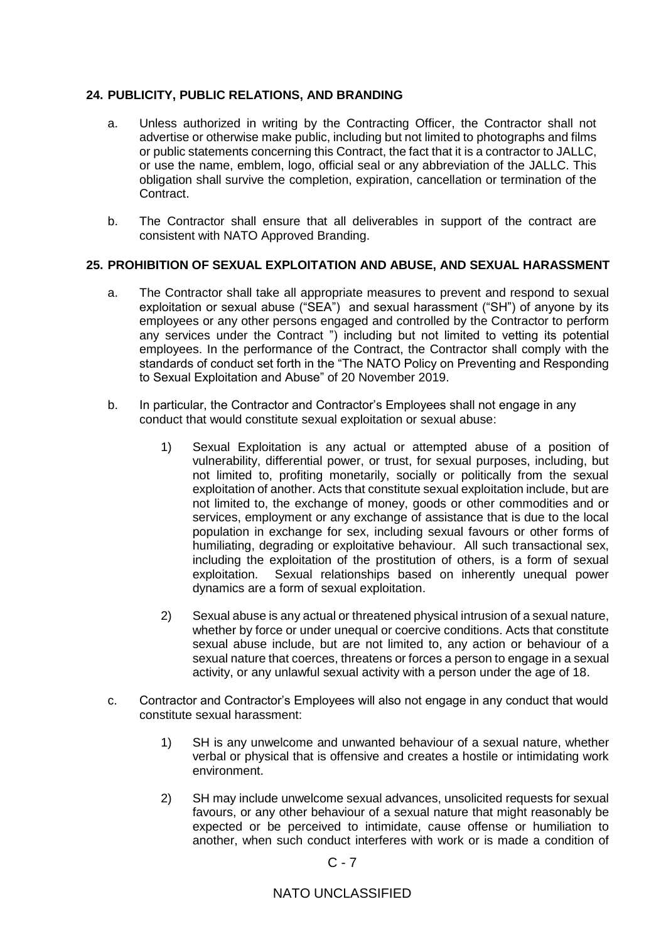# **24. PUBLICITY, PUBLIC RELATIONS, AND BRANDING**

- a. Unless authorized in writing by the Contracting Officer, the Contractor shall not advertise or otherwise make public, including but not limited to photographs and films or public statements concerning this Contract, the fact that it is a contractor to JALLC, or use the name, emblem, logo, official seal or any abbreviation of the JALLC. This obligation shall survive the completion, expiration, cancellation or termination of the Contract.
- b. The Contractor shall ensure that all deliverables in support of the contract are consistent with NATO Approved Branding.

### **25. PROHIBITION OF SEXUAL EXPLOITATION AND ABUSE, AND SEXUAL HARASSMENT**

- a. The Contractor shall take all appropriate measures to prevent and respond to sexual exploitation or sexual abuse ("SEA") and sexual harassment ("SH") of anyone by its employees or any other persons engaged and controlled by the Contractor to perform any services under the Contract ") including but not limited to vetting its potential employees. In the performance of the Contract, the Contractor shall comply with the standards of conduct set forth in the "The NATO Policy on Preventing and Responding to Sexual Exploitation and Abuse" of 20 November 2019.
- b. In particular, the Contractor and Contractor's Employees shall not engage in any conduct that would constitute sexual exploitation or sexual abuse:
	- 1) Sexual Exploitation is any actual or attempted abuse of a position of vulnerability, differential power, or trust, for sexual purposes, including, but not limited to, profiting monetarily, socially or politically from the sexual exploitation of another. Acts that constitute sexual exploitation include, but are not limited to, the exchange of money, goods or other commodities and or services, employment or any exchange of assistance that is due to the local population in exchange for sex, including sexual favours or other forms of humiliating, degrading or exploitative behaviour. All such transactional sex, including the exploitation of the prostitution of others, is a form of sexual exploitation. Sexual relationships based on inherently unequal power dynamics are a form of sexual exploitation.
	- 2) Sexual abuse is any actual or threatened physical intrusion of a sexual nature, whether by force or under unequal or coercive conditions. Acts that constitute sexual abuse include, but are not limited to, any action or behaviour of a sexual nature that coerces, threatens or forces a person to engage in a sexual activity, or any unlawful sexual activity with a person under the age of 18.
- c. Contractor and Contractor's Employees will also not engage in any conduct that would constitute sexual harassment:
	- 1) SH is any unwelcome and unwanted behaviour of a sexual nature, whether verbal or physical that is offensive and creates a hostile or intimidating work environment.
	- 2) SH may include unwelcome sexual advances, unsolicited requests for sexual favours, or any other behaviour of a sexual nature that might reasonably be expected or be perceived to intimidate, cause offense or humiliation to another, when such conduct interferes with work or is made a condition of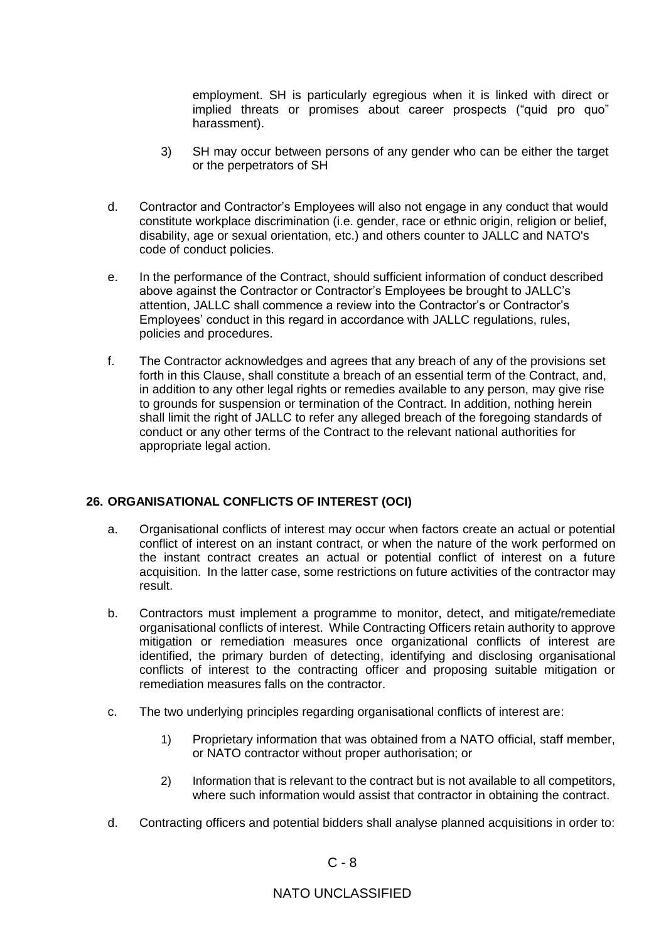employment. SH is particularly egregious when it is linked with direct or implied threats or promises about career prospects ("quid pro quo" harassment).

- 3) SH may occur between persons of any gender who can be either the target or the perpetrators of SH
- d. Contractor and Contractor's Employees will also not engage in any conduct that would constitute workplace discrimination (i.e. gender, race or ethnic origin, religion or belief, disability, age or sexual orientation, etc.) and others counter to JALLC and NATO's code of conduct policies.
- e. In the performance of the Contract, should sufficient information of conduct described above against the Contractor or Contractor's Employees be brought to JALLC's attention, JALLC shall commence a review into the Contractor's or Contractor's Employees' conduct in this regard in accordance with JALLC regulations, rules, policies and procedures.
- f. The Contractor acknowledges and agrees that any breach of any of the provisions set forth in this Clause, shall constitute a breach of an essential term of the Contract, and, in addition to any other legal rights or remedies available to any person, may give rise to grounds for suspension or termination of the Contract. In addition, nothing herein shall limit the right of JALLC to refer any alleged breach of the foregoing standards of conduct or any other terms of the Contract to the relevant national authorities for appropriate legal action.

# **26. ORGANISATIONAL CONFLICTS OF INTEREST (OCI)**

- a. Organisational conflicts of interest may occur when factors create an actual or potential conflict of interest on an instant contract, or when the nature of the work performed on the instant contract creates an actual or potential conflict of interest on a future acquisition. In the latter case, some restrictions on future activities of the contractor may result.
- b. Contractors must implement a programme to monitor, detect, and mitigate/remediate organisational conflicts of interest. While Contracting Officers retain authority to approve mitigation or remediation measures once organizational conflicts of interest are identified, the primary burden of detecting, identifying and disclosing organisational conflicts of interest to the contracting officer and proposing suitable mitigation or remediation measures falls on the contractor.
- c. The two underlying principles regarding organisational conflicts of interest are:
	- 1) Proprietary information that was obtained from a NATO official, staff member, or NATO contractor without proper authorisation; or
	- 2) Information that is relevant to the contract but is not available to all competitors, where such information would assist that contractor in obtaining the contract.
- d. Contracting officers and potential bidders shall analyse planned acquisitions in order to: